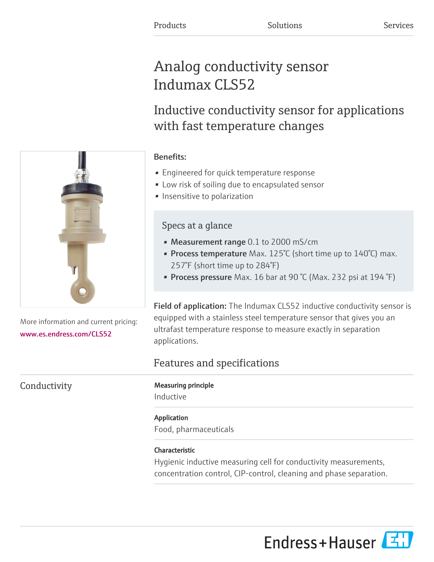# Analog conductivity sensor Indumax CLS52

# Inductive conductivity sensor for applications with fast temperature changes

## Benefits:

- Engineered for quick temperature response
- Low risk of soiling due to encapsulated sensor
- Insensitive to polarization

# Specs at a glance

- Measurement range 0.1 to 2000 mS/cm
- Process temperature Max.  $125^{\circ}$ C (short time up to  $140^{\circ}$ C) max. 257°F (short time up to 284°F)
- Process pressure Max. 16 bar at 90 °C (Max. 232 psi at 194 °F)

Field of application: The Indumax CLS52 inductive conductivity sensor is equipped with a stainless steel temperature sensor that gives you an ultrafast temperature response to measure exactly in separation applications.

# Features and specifications

### Conductivity Measuring principle

Inductive

#### Application

Food, pharmaceuticals

## Characteristic

Hygienic inductive measuring cell for conductivity measurements, concentration control, CIP-control, cleaning and phase separation.



More information and current pricing: [www.es.endress.com/CLS52](https://www.es.endress.com/CLS52)

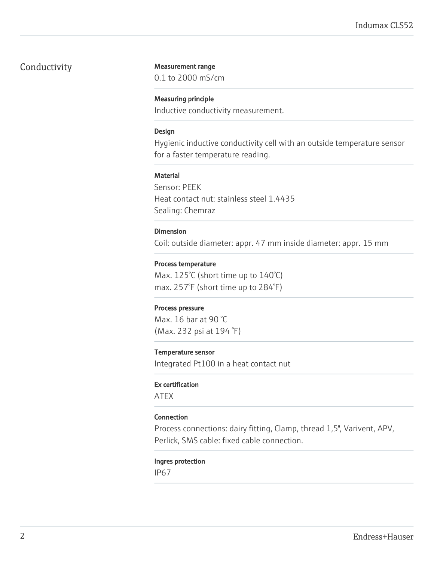#### Conductivity Measurement range

0.1 to 2000 mS/cm

#### Measuring principle

Inductive conductivity measurement.

#### Design

Hygienic inductive conductivity cell with an outside temperature sensor for a faster temperature reading.

#### **Material**

Sensor: PEEK Heat contact nut: stainless steel 1.4435 Sealing: Chemraz

#### Dimension

Coil: outside diameter: appr. 47 mm inside diameter: appr. 15 mm

#### Process temperature

Max. 125°C (short time up to 140°C) max. 257°F (short time up to 284°F)

#### Process pressure

Max. 16 bar at 90 °C (Max. 232 psi at 194 °F)

#### Temperature sensor

Integrated Pt100 in a heat contact nut

#### Ex certification

ATEX

#### Connection

Process connections: dairy fitting, Clamp, thread 1,5", Varivent, APV, Perlick, SMS cable: fixed cable connection.

#### Ingres protection

IP67